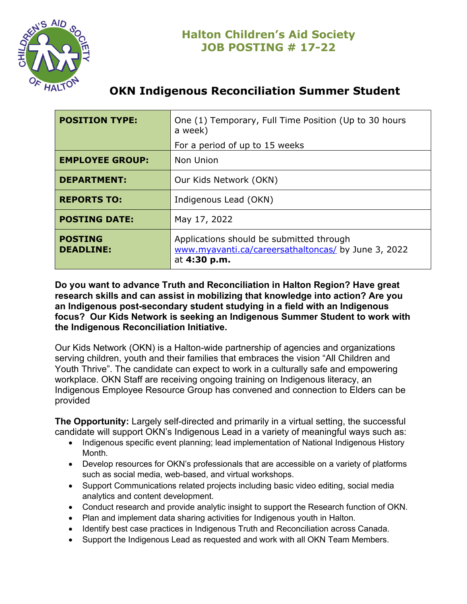

# **OKN Indigenous Reconciliation Summer Student**

| <b>POSITION TYPE:</b>              | One (1) Temporary, Full Time Position (Up to 30 hours<br>a week)                                                |
|------------------------------------|-----------------------------------------------------------------------------------------------------------------|
|                                    | For a period of up to 15 weeks                                                                                  |
| <b>EMPLOYEE GROUP:</b>             | Non Union                                                                                                       |
| <b>DEPARTMENT:</b>                 | Our Kids Network (OKN)                                                                                          |
| <b>REPORTS TO:</b>                 | Indigenous Lead (OKN)                                                                                           |
| <b>POSTING DATE:</b>               | May 17, 2022                                                                                                    |
| <b>POSTING</b><br><b>DEADLINE:</b> | Applications should be submitted through<br>www.myavanti.ca/careersathaltoncas/ by June 3, 2022<br>at 4:30 p.m. |

**Do you want to advance Truth and Reconciliation in Halton Region? Have great research skills and can assist in mobilizing that knowledge into action? Are you an Indigenous post-secondary student studying in a field with an Indigenous focus? Our Kids Network is seeking an Indigenous Summer Student to work with the Indigenous Reconciliation Initiative.**

Our Kids Network (OKN) is a Halton-wide partnership of agencies and organizations serving children, youth and their families that embraces the vision "All Children and Youth Thrive". The candidate can expect to work in a culturally safe and empowering workplace. OKN Staff are receiving ongoing training on Indigenous literacy, an Indigenous Employee Resource Group has convened and connection to Elders can be provided

**The Opportunity:** Largely self-directed and primarily in a virtual setting, the successful candidate will support OKN's Indigenous Lead in a variety of meaningful ways such as:

- Indigenous specific event planning; lead implementation of National Indigenous History **Month**
- Develop resources for OKN's professionals that are accessible on a variety of platforms such as social media, web-based, and virtual workshops.
- Support Communications related projects including basic video editing, social media analytics and content development.
- Conduct research and provide analytic insight to support the Research function of OKN.
- Plan and implement data sharing activities for Indigenous youth in Halton.
- Identify best case practices in Indigenous Truth and Reconciliation across Canada.
- Support the Indigenous Lead as requested and work with all OKN Team Members.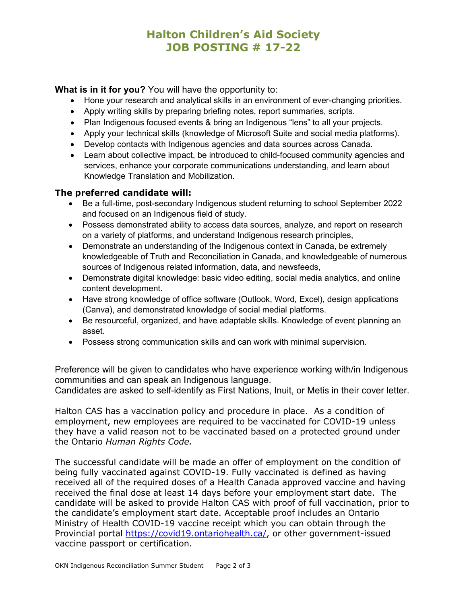# **Halton Children's Aid Society JOB POSTING # 17-22**

### **What is in it for you?** You will have the opportunity to:

- Hone your research and analytical skills in an environment of ever-changing priorities.
- Apply writing skills by preparing briefing notes, report summaries, scripts.
- Plan Indigenous focused events & bring an Indigenous "lens" to all your projects.
- Apply your technical skills (knowledge of Microsoft Suite and social media platforms).
- Develop contacts with Indigenous agencies and data sources across Canada.
- Learn about collective impact, be introduced to child-focused community agencies and services, enhance your corporate communications understanding, and learn about Knowledge Translation and Mobilization.

#### **The preferred candidate will:**

- Be a full-time, post-secondary Indigenous student returning to school September 2022 and focused on an Indigenous field of study.
- Possess demonstrated ability to access data sources, analyze, and report on research on a variety of platforms, and understand Indigenous research principles,
- Demonstrate an understanding of the Indigenous context in Canada, be extremely knowledgeable of Truth and Reconciliation in Canada, and knowledgeable of numerous sources of Indigenous related information, data, and newsfeeds,
- Demonstrate digital knowledge: basic video editing, social media analytics, and online content development.
- Have strong knowledge of office software (Outlook, Word, Excel), design applications (Canva), and demonstrated knowledge of social medial platforms.
- Be resourceful, organized, and have adaptable skills. Knowledge of event planning an asset.
- Possess strong communication skills and can work with minimal supervision.

Preference will be given to candidates who have experience working with/in Indigenous communities and can speak an Indigenous language.

Candidates are asked to self-identify as First Nations, Inuit, or Metis in their cover letter.

Halton CAS has a vaccination policy and procedure in place. As a condition of employment, new employees are required to be vaccinated for COVID-19 unless they have a valid reason not to be vaccinated based on a protected ground under the Ontario *Human Rights Code.*

The successful candidate will be made an offer of employment on the condition of being fully vaccinated against COVID-19. Fully vaccinated is defined as having received all of the required doses of a Health Canada approved vaccine and having received the final dose at least 14 days before your employment start date. The candidate will be asked to provide Halton CAS with proof of full vaccination, prior to the candidate's employment start date. Acceptable proof includes an Ontario Ministry of Health COVID-19 vaccine receipt which you can obtain through the Provincial portal [https://covid19.ontariohealth.ca/,](https://covid19.ontariohealth.ca/) or other government-issued vaccine passport or certification.